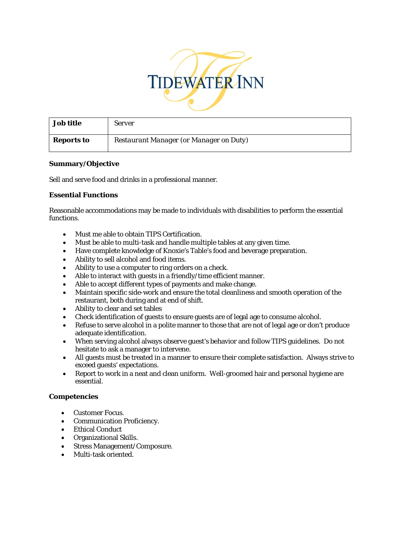

| Job title         | Server                                         |
|-------------------|------------------------------------------------|
| <b>Reports to</b> | <b>Restaurant Manager (or Manager on Duty)</b> |

## **Summary/Objective**

Sell and serve food and drinks in a professional manner.

## **Essential Functions**

Reasonable accommodations may be made to individuals with disabilities to perform the essential functions.

- Must me able to obtain TIPS Certification.
- Must be able to multi-task and handle multiple tables at any given time.
- Have complete knowledge of Knoxie's Table's food and beverage preparation.
- Ability to sell alcohol and food items.
- Ability to use a computer to ring orders on a check.
- Able to interact with guests in a friendly/time efficient manner.
- Able to accept different types of payments and make change.
- Maintain specific side-work and ensure the total cleanliness and smooth operation of the restaurant, both during and at end of shift.
- Ability to clear and set tables
- Check identification of guests to ensure guests are of legal age to consume alcohol.
- Refuse to serve alcohol in a polite manner to those that are not of legal age or don't produce adequate identification.
- When serving alcohol always observe guest's behavior and follow TIPS guidelines. Do not hesitate to ask a manager to intervene.
- All guests must be treated in a manner to ensure their complete satisfaction. Always strive to exceed guests' expectations.
- Report to work in a neat and clean uniform. Well-groomed hair and personal hygiene are essential.

# **Competencies**

- Customer Focus.
- Communication Proficiency.
- Ethical Conduct
- Organizational Skills.
- Stress Management/Composure.
- Multi-task oriented.